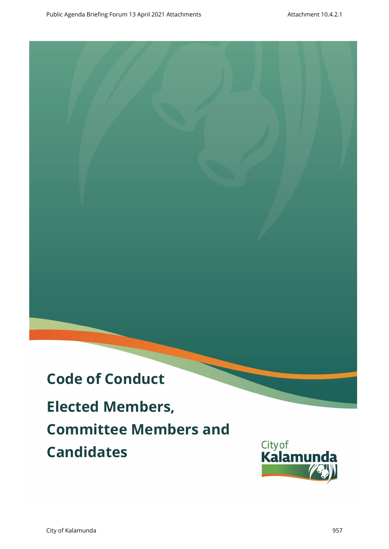# **Code of Conduct Elected Members, Committee Members and Draft** Public Agenda Briefing Forum 13 April 2021<br>
Elected Members,<br>
Committee Members and<br>
Candidates (Kalamunda Kalamunda)

**Candidates**

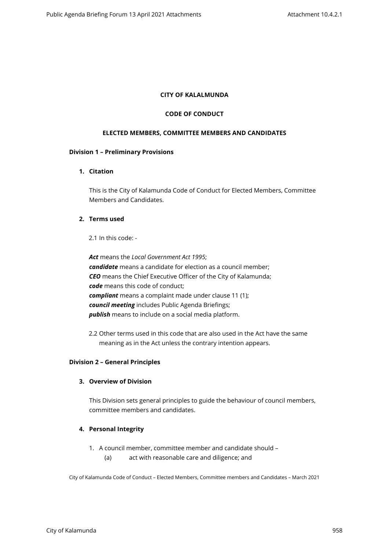#### **CITY OF KALALMUNDA**

#### **CODE OF CONDUCT**

#### **ELECTED MEMBERS, COMMITTEE MEMBERS AND CANDIDATES**

#### **Division 1 – Preliminary Provisions**

# **1. Citation**

This is the City of Kalamunda Code of Conduct for Elected Members, Committee Members and Candidates.

# **2. Terms used**

2.1 In this code: -

*Act* means the *Local Government Act 1995*; *candidate* means a candidate for election as a council member; *CEO* means the Chief Executive Officer of the City of Kalamunda; *code* means this code of conduct; *compliant* means a complaint made under clause 11 (1); *council meeting* includes Public Agenda Briefings; *publish* means to include on a social media platform.

2.2 Other terms used in this code that are also used in the Act have the same meaning as in the Act unless the contrary intention appears.

#### **Division 2 – General Principles**

# **3. Overview of Division**

This Division sets general principles to guide the behaviour of council members, committee members and candidates.

# **4. Personal Integrity**

- 1. A council member, committee member and candidate should
	- (a) act with reasonable care and diligence; and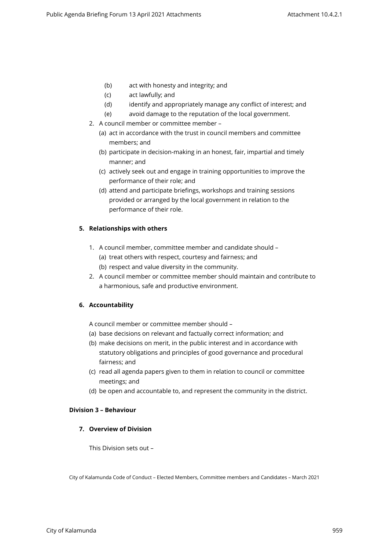- (b) act with honesty and integrity; and
- (c) act lawfully; and
- (d) identify and appropriately manage any conflict of interest; and
- (e) avoid damage to the reputation of the local government.
- 2. A council member or committee member
	- (a) act in accordance with the trust in council members and committee members; and
	- (b) participate in decision-making in an honest, fair, impartial and timely manner; and
	- (c) actively seek out and engage in training opportunities to improve the performance of their role; and
	- (d) attend and participate briefings, workshops and training sessions provided or arranged by the local government in relation to the performance of their role.

# **5. Relationships with others**

- 1. A council member, committee member and candidate should
	- (a) treat others with respect, courtesy and fairness; and
	- (b) respect and value diversity in the community.
- 2. A council member or committee member should maintain and contribute to a harmonious, safe and productive environment.

# **6. Accountability**

A council member or committee member should –

- (a) base decisions on relevant and factually correct information; and
- (b) make decisions on merit, in the public interest and in accordance with statutory obligations and principles of good governance and procedural fairness; and
- (c) read all agenda papers given to them in relation to council or committee meetings; and
- (d) be open and accountable to, and represent the community in the district.

# **Division 3 – Behaviour**

# **7. Overview of Division**

This Division sets out –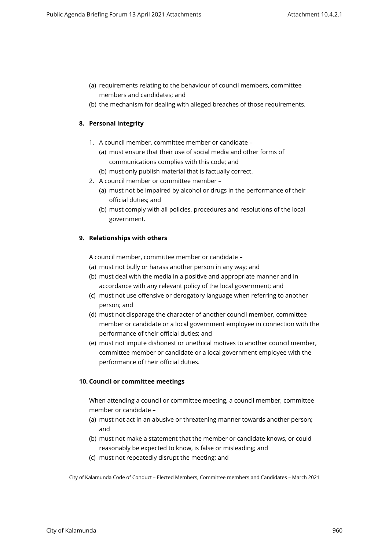- (a) requirements relating to the behaviour of council members, committee members and candidates; and
- (b) the mechanism for dealing with alleged breaches of those requirements.

# **8. Personal integrity**

- 1. A council member, committee member or candidate
	- (a) must ensure that their use of social media and other forms of communications complies with this code; and
	- (b) must only publish material that is factually correct.
- 2. A council member or committee member
	- (a) must not be impaired by alcohol or drugs in the performance of their official duties; and
	- (b) must comply with all policies, procedures and resolutions of the local government.

# **9. Relationships with others**

A council member, committee member or candidate –

- (a) must not bully or harass another person in any way; and
- (b) must deal with the media in a positive and appropriate manner and in accordance with any relevant policy of the local government; and
- (c) must not use offensive or derogatory language when referring to another person; and
- (d) must not disparage the character of another council member, committee member or candidate or a local government employee in connection with the performance of their official duties; and
- (e) must not impute dishonest or unethical motives to another council member, committee member or candidate or a local government employee with the performance of their official duties.

# **10. Council or committee meetings**

When attending a council or committee meeting, a council member, committee member or candidate –

- (a) must not act in an abusive or threatening manner towards another person; and
- (b) must not make a statement that the member or candidate knows, or could reasonably be expected to know, is false or misleading; and
- (c) must not repeatedly disrupt the meeting; and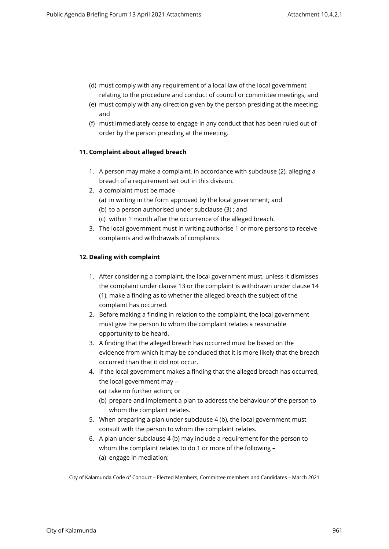- (d) must comply with any requirement of a local law of the local government relating to the procedure and conduct of council or committee meetings; and
- (e) must comply with any direction given by the person presiding at the meeting; and
- (f) must immediately cease to engage in any conduct that has been ruled out of order by the person presiding at the meeting.

# **11. Complaint about alleged breach**

- 1. A person may make a complaint, in accordance with subclause (2), alleging a breach of a requirement set out in this division.
- 2. a complaint must be made
	- (a) in writing in the form approved by the local government; and
	- (b) to a person authorised under subclause (3) ; and
	- (c) within 1 month after the occurrence of the alleged breach.
- 3. The local government must in writing authorise 1 or more persons to receive complaints and withdrawals of complaints.

# **12. Dealing with complaint**

- 1. After considering a complaint, the local government must, unless it dismisses the complaint under clause 13 or the complaint is withdrawn under clause 14 (1), make a finding as to whether the alleged breach the subject of the complaint has occurred.
- 2. Before making a finding in relation to the complaint, the local government must give the person to whom the complaint relates a reasonable opportunity to be heard.
- 3. A finding that the alleged breach has occurred must be based on the evidence from which it may be concluded that it is more likely that the breach occurred than that it did not occur.
- 4. If the local government makes a finding that the alleged breach has occurred, the local government may –
	- (a) take no further action; or
	- (b) prepare and implement a plan to address the behaviour of the person to whom the complaint relates.
- 5. When preparing a plan under subclause 4 (b), the local government must consult with the person to whom the complaint relates.
- 6. A plan under subclause 4 (b) may include a requirement for the person to whom the complaint relates to do 1 or more of the following – (a) engage in mediation;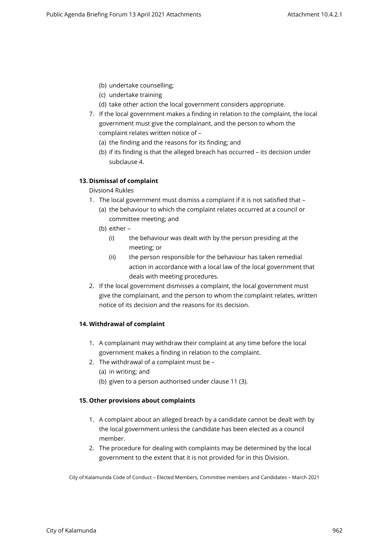- (b) undertake counselling;
- (c) undertake training
- (d) take other action the local government considers appropriate.
- 7. If the local government makes a finding in relation to the complaint, the local government must give the complainant, and the person to whom the complaint relates written notice of –
	- (a) the finding and the reasons for its finding; and
	- (b) if its finding is that the alleged breach has occurred its decision under subclause 4.

# **13. Dismissal of complaint**

# Divsion4 Rukles

- 1. The local government must dismiss a complaint if it is not satisfied that
	- (a) the behaviour to which the complaint relates occurred at a council or committee meeting; and
	- (b) either
		- (i) the behaviour was dealt with by the person presiding at the meeting; or
		- (ii) the person responsible for the behaviour has taken remedial action in accordance with a local law of the local government that deals with meeting procedures.
- 2. If the local government dismisses a complaint, the local government must give the complainant, and the person to whom the complaint relates, written notice of its decision and the reasons for its decision.

# **14. Withdrawal of complaint**

- 1. A complainant may withdraw their complaint at any time before the local government makes a finding in relation to the complaint.
- 2. The withdrawal of a complaint must be
	- (a) in writing; and
	- (b) given to a person authorised under clause 11 (3).

# **15. Other provisions about complaints**

- 1. A complaint about an alleged breach by a candidate cannot be dealt with by the local government unless the candidate has been elected as a council member.
- 2. The procedure for dealing with complaints may be determined by the local government to the extent that it is not provided for in this Division.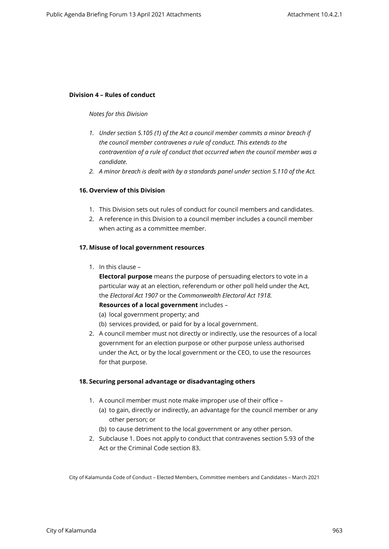#### **Division 4 – Rules of conduct**

#### *Notes for this Division*

- *1. Under section 5.105 (1) of the Act a council member commits a minor breach if the council member contravenes a rule of conduct. This extends to the contravention of a rule of conduct that occurred when the council member was a candidate.*
- *2. A minor breach is dealt with by a standards panel under section 5.110 of the Act.*

# **16. Overview of this Division**

- 1. This Division sets out rules of conduct for council members and candidates.
- 2. A reference in this Division to a council member includes a council member when acting as a committee member.

#### **17. Misuse of local government resources**

1. In this clause –

**Electoral purpose** means the purpose of persuading electors to vote in a particular way at an election, referendum or other poll held under the Act, the *Electoral Act 1907* or the *Commonwealth Electoral Act 1918.* **Resources of a local government** includes –

- 
- (a) local government property; and
- (b) services provided, or paid for by a local government.
- 2. A council member must not directly or indirectly, use the resources of a local government for an election purpose or other purpose unless authorised under the Act, or by the local government or the CEO, to use the resources for that purpose.

#### **18. Securing personal advantage or disadvantaging others**

- 1. A council member must note make improper use of their office
	- (a) to gain, directly or indirectly, an advantage for the council member or any other person; or
	- (b) to cause detriment to the local government or any other person.
- 2. Subclause 1. Does not apply to conduct that contravenes section 5.93 of the Act or the Criminal Code section 83.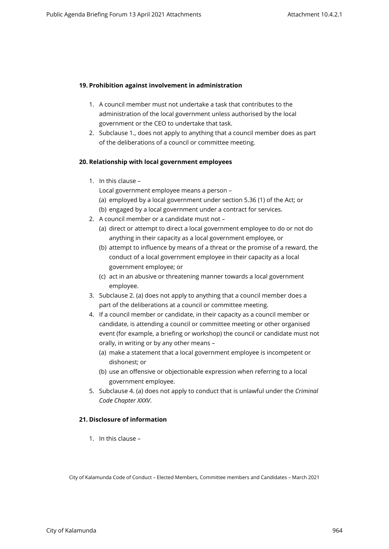# **19. Prohibition against involvement in administration**

- 1. A council member must not undertake a task that contributes to the administration of the local government unless authorised by the local government or the CEO to undertake that task.
- 2. Subclause 1., does not apply to anything that a council member does as part of the deliberations of a council or committee meeting.

#### **20. Relationship with local government employees**

1. In this clause –

Local government employee means a person –

- (a) employed by a local government under section 5.36 (1) of the Act; or
- (b) engaged by a local government under a contract for services.
- 2. A council member or a candidate must not
	- (a) direct or attempt to direct a local government employee to do or not do anything in their capacity as a local government employee, or
	- (b) attempt to influence by means of a threat or the promise of a reward, the conduct of a local government employee in their capacity as a local government employee; or
	- (c) act in an abusive or threatening manner towards a local government employee.
- 3. Subclause 2. (a) does not apply to anything that a council member does a part of the deliberations at a council or committee meeting.
- 4. If a council member or candidate, in their capacity as a council member or candidate, is attending a council or committee meeting or other organised event (for example, a briefing or workshop) the council or candidate must not orally, in writing or by any other means –
	- (a) make a statement that a local government employee is incompetent or dishonest; or
	- (b) use an offensive or objectionable expression when referring to a local government employee.
- 5. Subclause 4. (a) does not apply to conduct that is unlawful under the *Criminal Code Chapter XXXV*.

# **21. Disclosure of information**

1. In this clause –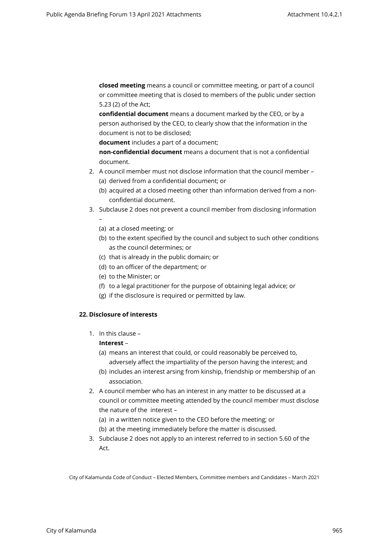**closed meeting** means a council or committee meeting, or part of a council or committee meeting that is closed to members of the public under section 5.23 (2) of the Act;

**confidential document** means a document marked by the CEO, or by a person authorised by the CEO, to clearly show that the information in the document is not to be disclosed;

**document** includes a part of a document;

**non-confidential document** means a document that is not a confidential document.

- 2. A council member must not disclose information that the council member (a) derived from a confidential document; or
	- (b) acquired at a closed meeting other than information derived from a nonconfidential document.
- 3. Subclause 2 does not prevent a council member from disclosing information –
	- (a) at a closed meeting; or
	- (b) to the extent specified by the council and subject to such other conditions as the council determines; or
	- (c) that is already in the public domain; or
	- (d) to an officer of the department; or
	- (e) to the Minister; or
	- (f) to a legal practitioner for the purpose of obtaining legal advice; or
	- (g) if the disclosure is required or permitted by law.

# **22. Disclosure of interests**

1. In this clause –

# **Interest** –

- (a) means an interest that could, or could reasonably be perceived to,
- adversely affect the impartiality of the person having the interest; and (b) includes an interest arsing from kinship, friendship or membership of an
	- association.
- 2. A council member who has an interest in any matter to be discussed at a council or committee meeting attended by the council member must disclose the nature of the interest –
	- (a) in a written notice given to the CEO before the meeting; or
	- (b) at the meeting immediately before the matter is discussed.
- 3. Subclause 2 does not apply to an interest referred to in section 5.60 of the Act.